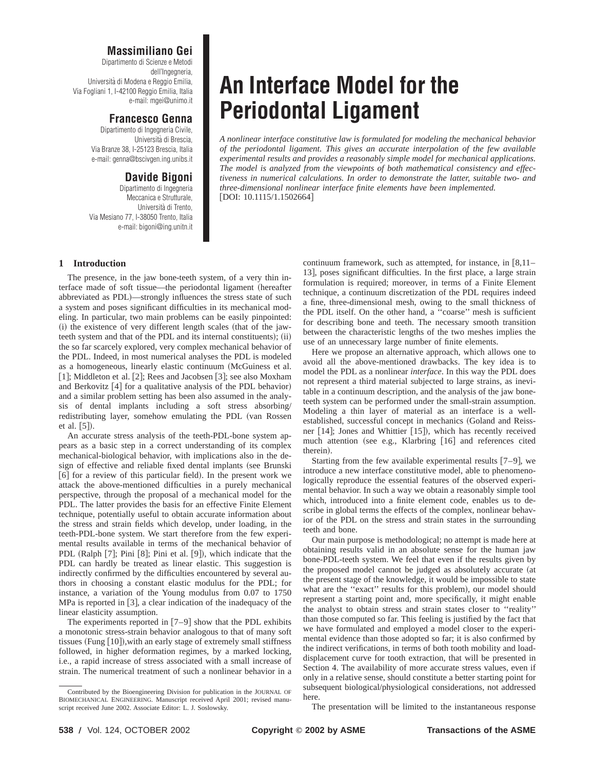## **Massimiliano Gei**

Dipartimento di Scienze e Metodi dell'Ingegneria, Universita` di Modena e Reggio Emilia, Via Fogliani 1, I-42100 Reggio Emilia, Italia e-mail: mgei@unimo.it

# **Francesco Genna**

Dipartimento di Ingegneria Civile, Università di Brescia, Via Branze 38, I-25123 Brescia, Italia e-mail: genna@bscivgen.ing.unibs.it

# **Davide Bigoni**

Dipartimento di Ingegneria Meccanica e Strutturale, Università di Trento, Via Mesiano 77, I-38050 Trento, Italia e-mail: bigoni@ing.unitn.it

### **1 Introduction**

The presence, in the jaw bone-teeth system, of a very thin interface made of soft tissue—the periodontal ligament (hereafter abbreviated as PDL)—strongly influences the stress state of such a system and poses significant difficulties in its mechanical modeling. In particular, two main problems can be easily pinpointed:  $(i)$  the existence of very different length scales (that of the jawteeth system and that of the PDL and its internal constituents); (ii) the so far scarcely explored, very complex mechanical behavior of the PDL. Indeed, in most numerical analyses the PDL is modeled as a homogeneous, linearly elastic continuum (McGuiness et al. [1]; Middleton et al. [2]; Rees and Jacobsen [3]; see also Moxham and Berkovitz  $[4]$  for a qualitative analysis of the PDL behavior) and a similar problem setting has been also assumed in the analysis of dental implants including a soft stress absorbing/ redistributing layer, somehow emulating the PDL (van Rossen et al.  $[5]$ .

An accurate stress analysis of the teeth-PDL-bone system appears as a basic step in a correct understanding of its complex mechanical-biological behavior, with implications also in the design of effective and reliable fixed dental implants (see Brunski [6] for a review of this particular field). In the present work we attack the above-mentioned difficulties in a purely mechanical perspective, through the proposal of a mechanical model for the PDL. The latter provides the basis for an effective Finite Element technique, potentially useful to obtain accurate information about the stress and strain fields which develop, under loading, in the teeth-PDL-bone system. We start therefore from the few experimental results available in terms of the mechanical behavior of PDL  $(Ralph [7]; Pini [8]; Pini et al. [9]), which indicate that the$ PDL can hardly be treated as linear elastic. This suggestion is indirectly confirmed by the difficulties encountered by several authors in choosing a constant elastic modulus for the PDL; for instance, a variation of the Young modulus from 0.07 to 1750 MPa is reported in  $[3]$ , a clear indication of the inadequacy of the linear elasticity assumption.

The experiments reported in  $[7-9]$  show that the PDL exhibits a monotonic stress-strain behavior analogous to that of many soft tissues (Fung  $[10]$ ), with an early stage of extremely small stiffness followed, in higher deformation regimes, by a marked locking, i.e., a rapid increase of stress associated with a small increase of strain. The numerical treatment of such a nonlinear behavior in a

# **An Interface Model for the Periodontal Ligament**

*A nonlinear interface constitutive law is formulated for modeling the mechanical behavior of the periodontal ligament. This gives an accurate interpolation of the few available experimental results and provides a reasonably simple model for mechanical applications. The model is analyzed from the viewpoints of both mathematical consistency and effectiveness in numerical calculations. In order to demonstrate the latter, suitable two- and three-dimensional nonlinear interface finite elements have been implemented.*  $[DOI: 10.1115/1.1502664]$ 

> continuum framework, such as attempted, for instance, in  $\lceil 8, 11 -$ 13], poses significant difficulties. In the first place, a large strain formulation is required; moreover, in terms of a Finite Element technique, a continuum discretization of the PDL requires indeed a fine, three-dimensional mesh, owing to the small thickness of the PDL itself. On the other hand, a ''coarse'' mesh is sufficient for describing bone and teeth. The necessary smooth transition between the characteristic lengths of the two meshes implies the use of an unnecessary large number of finite elements.

> Here we propose an alternative approach, which allows one to avoid all the above-mentioned drawbacks. The key idea is to model the PDL as a nonlinear *interface*. In this way the PDL does not represent a third material subjected to large strains, as inevitable in a continuum description, and the analysis of the jaw boneteeth system can be performed under the small-strain assumption. Modeling a thin layer of material as an interface is a wellestablished, successful concept in mechanics (Goland and Reissner  $[14]$ ; Jones and Whittier  $[15]$ ), which has recently received much attention (see e.g., Klarbring  $[16]$  and references cited therein).

> Starting from the few available experimental results  $[7-9]$ , we introduce a new interface constitutive model, able to phenomenologically reproduce the essential features of the observed experimental behavior. In such a way we obtain a reasonably simple tool which, introduced into a finite element code, enables us to describe in global terms the effects of the complex, nonlinear behavior of the PDL on the stress and strain states in the surrounding teeth and bone.

> Our main purpose is methodological; no attempt is made here at obtaining results valid in an absolute sense for the human jaw bone-PDL-teeth system. We feel that even if the results given by the proposed model cannot be judged as absolutely accurate (at the present stage of the knowledge, it would be impossible to state what are the "exact" results for this problem), our model should represent a starting point and, more specifically, it might enable the analyst to obtain stress and strain states closer to ''reality'' than those computed so far. This feeling is justified by the fact that we have formulated and employed a model closer to the experimental evidence than those adopted so far; it is also confirmed by the indirect verifications, in terms of both tooth mobility and loaddisplacement curve for tooth extraction, that will be presented in Section 4. The availability of more accurate stress values, even if only in a relative sense, should constitute a better starting point for subsequent biological/physiological considerations, not addressed here.

The presentation will be limited to the instantaneous response

Contributed by the Bioengineering Division for publication in the JOURNAL OF BIOMECHANICAL ENGINEERING. Manuscript received April 2001; revised manuscript received June 2002. Associate Editor: L. J. Soslowsky.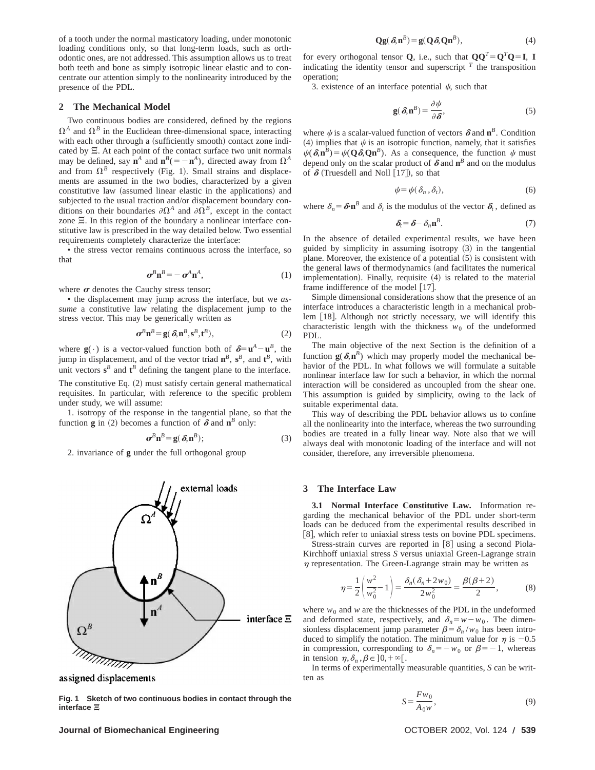of a tooth under the normal masticatory loading, under monotonic loading conditions only, so that long-term loads, such as orthodontic ones, are not addressed. This assumption allows us to treat both teeth and bone as simply isotropic linear elastic and to concentrate our attention simply to the nonlinearity introduced by the presence of the PDL.

### **2 The Mechanical Model**

Two continuous bodies are considered, defined by the regions  $\Omega^A$  and  $\Omega^B$  in the Euclidean three-dimensional space, interacting with each other through a (sufficiently smooth) contact zone indicated by  $\Xi$ . At each point of the contact surface two unit normals may be defined, say  $\mathbf{n}^A$  and  $\mathbf{n}^B(=-\mathbf{n}^A)$ , directed away from  $\Omega^A$ and from  $\Omega^B$  respectively (Fig. 1). Small strains and displacements are assumed in the two bodies, characterized by a given constitutive law (assumed linear elastic in the applications) and subjected to the usual traction and/or displacement boundary conditions on their boundaries  $\partial \Omega^A$  and  $\partial \Omega^B$ , except in the contact zone  $\Xi$ . In this region of the boundary a nonlinear interface constitutive law is prescribed in the way detailed below. Two essential requirements completely characterize the interface:

• the stress vector remains continuous across the interface, so that

$$
\boldsymbol{\sigma}^B \mathbf{n}^B = -\boldsymbol{\sigma}^A \mathbf{n}^A,\tag{1}
$$

where  $\sigma$  denotes the Cauchy stress tensor;

• the displacement may jump across the interface, but we *assume* a constitutive law relating the displacement jump to the stress vector. This may be generically written as

$$
\boldsymbol{\sigma}^B \mathbf{n}^B = \mathbf{g}(\ \boldsymbol{\delta}, \mathbf{n}^B, \mathbf{s}^B, \mathbf{t}^B),\tag{2}
$$

where  $\mathbf{g}(\cdot)$  is a vector-valued function both of  $\delta = \mathbf{u}^A - \mathbf{u}^B$ , the jump in displacement, and of the vector triad  $\mathbf{n}^B$ ,  $\mathbf{s}^B$ , and  $\mathbf{t}^B$ , with unit vectors  $s^B$  and  $t^B$  defining the tangent plane to the interface.

The constitutive Eq.  $(2)$  must satisfy certain general mathematical requisites. In particular, with reference to the specific problem under study, we will assume:

1. isotropy of the response in the tangential plane, so that the function **g** in (2) becomes a function of  $\delta$  and  $\mathbf{n}^B$  only:

$$
\boldsymbol{\sigma}^B \mathbf{n}^B = \mathbf{g}(\,\boldsymbol{\delta}, \mathbf{n}^B); \tag{3}
$$

2. invariance of **g** under the full orthogonal group



assigned displacements

Fig. 1 Sketch of two continuous bodies in contact through the **interface**  $\Xi$ 

$$
Qg(\delta, n^B) = g(Q\delta, Qn^B), \qquad (4)
$$

for every orthogonal tensor **Q**, i.e., such that  $\mathbf{Q}\mathbf{Q}^T = \mathbf{Q}^T\mathbf{Q} = \mathbf{I}$ , **I** indicating the identity tensor and superscript  $<sup>T</sup>$  the transposition</sup> operation;

3. existence of an interface potential  $\psi$ , such that

$$
\mathbf{g}(\delta \mathbf{n}^B) = \frac{\partial \psi}{\partial \delta},\tag{5}
$$

where  $\psi$  is a scalar-valued function of vectors  $\delta$  and  $\mathbf{n}^B$ . Condition (4) implies that  $\psi$  is an isotropic function, namely, that it satisfies  $\psi(\delta, \mathbf{n}^B) = \psi(\mathbf{Q}\delta, \mathbf{Q}\mathbf{n}^B)$ . As a consequence, the function  $\psi$  must depend only on the scalar product of  $\delta$  and  $n^B$  and on the modulus of  $\delta$  (Truesdell and Noll [17]), so that

$$
\psi = \psi(\delta_n, \delta_t),\tag{6}
$$

where  $\delta_n = \delta \mathbf{n}^B$  and  $\delta_t$  is the modulus of the vector  $\delta_t$ , defined as

$$
\delta_t = \delta - \delta_n \mathbf{n}^B. \tag{7}
$$

In the absence of detailed experimental results, we have been guided by simplicity in assuming isotropy  $(3)$  in the tangential plane. Moreover, the existence of a potential  $(5)$  is consistent with the general laws of thermodynamics (and facilitates the numerical implementation). Finally, requisite (4) is related to the material frame indifference of the model  $[17]$ .

Simple dimensional considerations show that the presence of an interface introduces a characteristic length in a mechanical problem [18]. Although not strictly necessary, we will identify this characteristic length with the thickness  $w_0$  of the undeformed PDL.

The main objective of the next Section is the definition of a function  $\mathbf{g}(\delta, \mathbf{n}^B)$  which may properly model the mechanical behavior of the PDL. In what follows we will formulate a suitable nonlinear interface law for such a behavior, in which the normal interaction will be considered as uncoupled from the shear one. This assumption is guided by simplicity, owing to the lack of suitable experimental data.

This way of describing the PDL behavior allows us to confine all the nonlinearity into the interface, whereas the two surrounding bodies are treated in a fully linear way. Note also that we will always deal with monotonic loading of the interface and will not consider, therefore, any irreversible phenomena.

### **3 The Interface Law**

**3.1 Normal Interface Constitutive Law.** Information regarding the mechanical behavior of the PDL under short-term loads can be deduced from the experimental results described in [8], which refer to uniaxial stress tests on bovine PDL specimens.

Stress-strain curves are reported in  $[8]$  using a second Piola-Kirchhoff uniaxial stress *S* versus uniaxial Green-Lagrange strain  $\eta$  representation. The Green-Lagrange strain may be written as

$$
\eta = \frac{1}{2} \left( \frac{w^2}{w_0^2} - 1 \right) = \frac{\delta_n (\delta_n + 2w_0)}{2w_0^2} = \frac{\beta(\beta + 2)}{2},\tag{8}
$$

where  $w_0$  and  $w$  are the thicknesses of the PDL in the undeformed and deformed state, respectively, and  $\delta_n = w - w_0$ . The dimensionless displacement jump parameter  $\beta = \delta_n / w_0$  has been introduced to simplify the notation. The minimum value for  $\eta$  is  $-0.5$ in compression, corresponding to  $\delta_n = -w_0$  or  $\beta = -1$ , whereas in tension  $\eta$ ,  $\delta_n$ ,  $\beta \in ]0,+\infty[$ .

In terms of experimentally measurable quantities, *S* can be written as

$$
S = \frac{F w_0}{A_0 w},\tag{9}
$$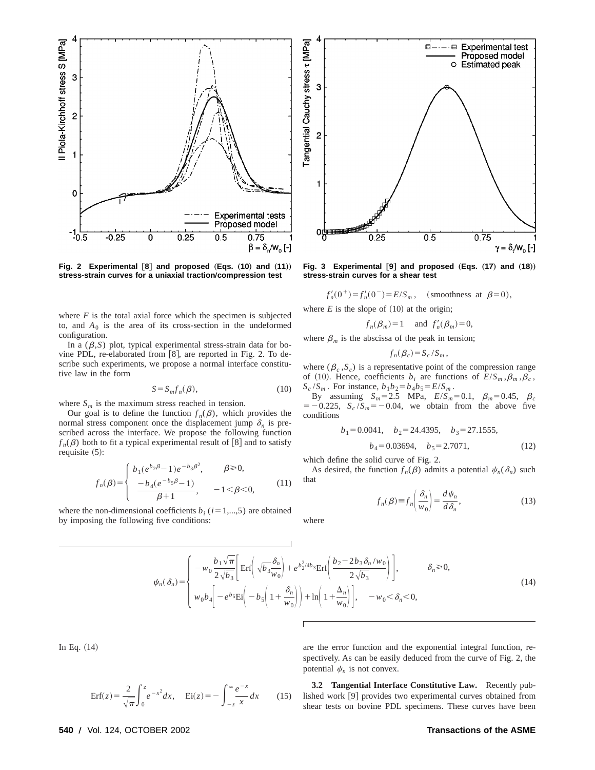

**Fig. 2 Experimental [8] and proposed (Eqs. (10) and (11))** stress-strain curves for a uniaxial traction/compression test

where  $F$  is the total axial force which the specimen is subjected to, and  $A_0$  is the area of its cross-section in the undeformed configuration.

In a  $(\beta, S)$  plot, typical experimental stress-strain data for bovine PDL, re-elaborated from  $[8]$ , are reported in Fig. 2. To describe such experiments, we propose a normal interface constitutive law in the form

$$
S = S_m f_n(\beta),\tag{10}
$$

where  $S_m$  is the maximum stress reached in tension.

Our goal is to define the function  $f_n(\beta)$ , which provides the normal stress component once the displacement jump  $\delta_n$  is prescribed across the interface. We propose the following function  $f_n(\beta)$  both to fit a typical experimental result of [8] and to satisfy requisite  $(5)$ :

$$
f_n(\beta) = \begin{cases} b_1(e^{b_2\beta} - 1)e^{-b_3\beta^2}, & \beta \ge 0, \\ \frac{-b_4(e^{-b_5\beta} - 1)}{\beta + 1}, & -1 < \beta < 0, \end{cases}
$$
(11)

where the non-dimensional coefficients  $b_i$  ( $i=1,...,5$ ) are obtained by imposing the following five conditions:



**Fig. 3 Experimental [9] and proposed (Eqs. (17) and (18)) stress-strain curves for a shear test**

$$
f'_n(0^+) = f'_n(0^-) = E/S_m
$$
, (smoothness at  $\beta = 0$ ),

where  $E$  is the slope of  $(10)$  at the origin;

$$
f_n(\beta_m)=1
$$
 and  $f'_n(\beta_m)=0$ ,

where  $\beta_m$  is the abscissa of the peak in tension;

$$
f_n(\beta_c) = S_c/S_m,
$$

where  $(\beta_c, S_c)$  is a representative point of the compression range of (10). Hence, coefficients  $b_i$  are functions of  $E/S_m$ ,  $\beta_m$ ,  $\beta_c$ ,  $S_c / S_m$ . For instance,  $b_1 b_2 = b_4 b_5 = E / S_m$ .

By assuming  $S_m = 2.5$  MPa,  $E/S_m = 0.1$ ,  $\beta_m = 0.45$ ,  $\beta_c$  $=$  -0.225,  $S_c / S_m =$  -0.04, we obtain from the above five conditions

$$
b_1 = 0.0041
$$
,  $b_2 = 24.4395$ ,  $b_3 = 27.1555$ ,  
 $b_4 = 0.03694$ ,  $b_5 = 2.7071$ , (12)

which define the solid curve of Fig. 2.

As desired, the function  $f_n(\beta)$  admits a potential  $\psi_n(\delta_n)$  such that

$$
f_n(\beta) \equiv f_n\left(\frac{\delta_n}{w_0}\right) = \frac{d\psi_n}{d\delta_n},\tag{13}
$$

where

$$
\psi_n(\delta_n) = \begin{cases}\n-w_0 \frac{b_1 \sqrt{\pi}}{2\sqrt{b_3}} \Big[ \text{Erf}\Big(\sqrt{b_3} \frac{\delta_n}{w_0}\Big) + e^{b_2^2/4b_3} \text{Erf}\Big(\frac{b_2 - 2b_3 \delta_n/w_0}{2\sqrt{b_3}}\Big) \Big], & \delta_n \ge 0, \\
w_0 b_4 \Big[ -e^{b_5} \text{Ei}\Big(-b_5 \Big(1 + \frac{\delta_n}{w_0}\Big) \Big) + \ln\Big(1 + \frac{\Delta_n}{w_0}\Big) \Big], & -w_0 < \delta_n < 0,\n\end{cases}
$$
\n(14)

In Eq.  $(14)$ 

$$
\text{Erf}(z) = \frac{2}{\sqrt{\pi}} \int_0^z e^{-x^2} dx, \quad \text{Ei}(z) = -\int_{-z}^{\infty} \frac{e^{-x}}{x} dx \qquad (15)
$$

are the error function and the exponential integral function, respectively. As can be easily deduced from the curve of Fig. 2, the potential  $\psi_n$  is not convex.

**3.2 Tangential Interface Constitutive Law.** Recently published work [9] provides two experimental curves obtained from shear tests on bovine PDL specimens. These curves have been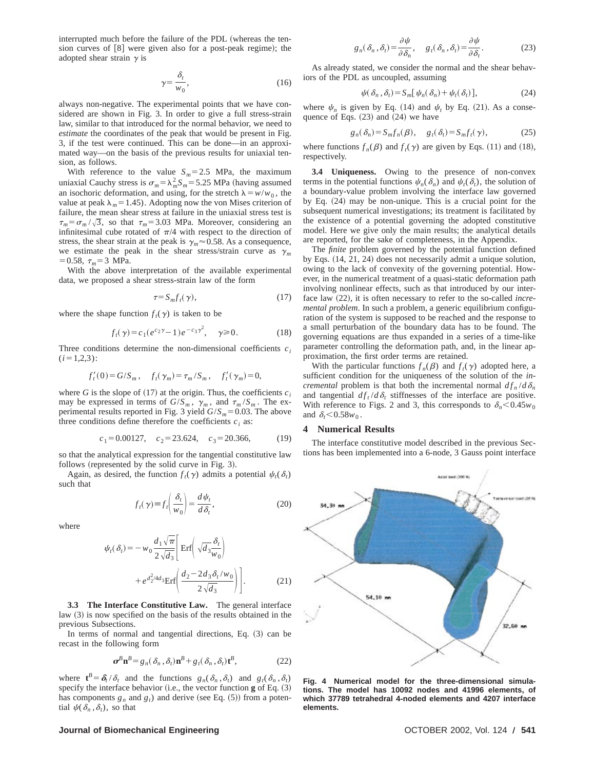interrupted much before the failure of the PDL (whereas the tension curves of  $[8]$  were given also for a post-peak regime); the adopted shear strain  $\gamma$  is

$$
\gamma = \frac{\delta_t}{w_0},\tag{16}
$$

always non-negative. The experimental points that we have considered are shown in Fig. 3. In order to give a full stress-strain law, similar to that introduced for the normal behavior, we need to *estimate* the coordinates of the peak that would be present in Fig. 3, if the test were continued. This can be done—in an approximated way—on the basis of the previous results for uniaxial tension, as follows.

With reference to the value  $S_m$ =2.5 MPa, the maximum uniaxial Cauchy stress is  $\sigma_m = \lambda_m^2 S_m = 5.25$  MPa (having assumed an isochoric deformation, and using, for the stretch  $\lambda = w/w_0$ , the value at peak  $\lambda_m$ =1.45). Adopting now the von Mises criterion of failure, the mean shear stress at failure in the uniaxial stress test is  $\tau_m = \sigma_m / \sqrt{3}$ , so that  $\tau_m = 3.03$  MPa. Moreover, considering an infinitesimal cube rotated of  $\pi/4$  with respect to the direction of stress, the shear strain at the peak is  $\gamma_m \approx 0.58$ . As a consequence, we estimate the peak in the shear stress/strain curve as  $\gamma_m$  $=0.58, \tau_m=3$  MPa.

With the above interpretation of the available experimental data, we proposed a shear stress-strain law of the form

$$
\tau = S_m f_t(\gamma),\tag{17}
$$

where the shape function  $f_t(\gamma)$  is taken to be

$$
f_t(\gamma) = c_1(e^{c_2\gamma} - 1)e^{-c_3\gamma^2}, \quad \gamma \ge 0.
$$
 (18)

Three conditions determine the non-dimensional coefficients  $c_i$  $(i=1,2,3)$ :

$$
f'_{t}(0) = G/S_{m}, \quad f_{t}(\gamma_{m}) = \tau_{m}/S_{m}, \quad f'_{t}(\gamma_{m}) = 0,
$$

where *G* is the slope of (17) at the origin. Thus, the coefficients  $c_i$ may be expressed in terms of  $G/S_m$ ,  $\gamma_m$ , and  $\tau_m/S_m$ . The experimental results reported in Fig. 3 yield  $G/S_m = 0.03$ . The above three conditions define therefore the coefficients  $c_i$  as:

$$
c_1 = 0.00127
$$
,  $c_2 = 23.624$ ,  $c_3 = 20.366$ , (19)

so that the analytical expression for the tangential constitutive law follows (represented by the solid curve in Fig. 3).

Again, as desired, the function  $f_t(\gamma)$  admits a potential  $\psi_t(\delta_t)$ such that

$$
f_t(\gamma) \equiv f_t\left(\frac{\delta_t}{w_0}\right) = \frac{d\psi_t}{d\delta_t},\tag{20}
$$

where

$$
\psi_t(\delta_t) = -w_0 \frac{d_1 \sqrt{\pi}}{2\sqrt{d_3}} \left[ \text{Erf} \left( \sqrt{d_3} \frac{\delta_t}{w_0} \right) + e^{d_2^2/4d_3} \text{Erf} \left( \frac{d_2 - 2d_3 \delta_t / w_0}{2\sqrt{d_3}} \right) \right].
$$
 (21)

**3.3 The Interface Constitutive Law.** The general interface law  $(3)$  is now specified on the basis of the results obtained in the previous Subsections.

In terms of normal and tangential directions, Eq.  $(3)$  can be recast in the following form

$$
\boldsymbol{\sigma}^{B} \mathbf{n}^{B} = g_{n}(\delta_{n}, \delta_{t}) \mathbf{n}^{B} + g_{t}(\delta_{n}, \delta_{t}) \mathbf{t}^{B}, \qquad (22)
$$

where  $\mathbf{t}^B = \delta_t / \delta_t$  and the functions  $g_n(\delta_n, \delta_t)$  and  $g_t(\delta_n, \delta_t)$ specify the interface behavior  $(i.e.,$  the vector function  $g$  of Eq.  $(3)$ has components  $g_n$  and  $g_t$ ) and derive (see Eq. (5)) from a potential  $\psi(\delta_n, \delta_t)$ , so that

$$
g_n(\delta_n, \delta_t) = \frac{\partial \psi}{\partial \delta_n}, \quad g_t(\delta_n, \delta_t) = \frac{\partial \psi}{\partial \delta_t}.
$$
 (23)

As already stated, we consider the normal and the shear behaviors of the PDL as uncoupled, assuming

$$
\psi(\delta_n, \delta_t) = S_m[\psi_n(\delta_n) + \psi_t(\delta_t)], \qquad (24)
$$

where  $\psi_n$  is given by Eq. (14) and  $\psi_t$  by Eq. (21). As a consequence of Eqs.  $(23)$  and  $(24)$  we have

$$
g_n(\delta_n) = S_m f_n(\beta), \quad g_t(\delta_t) = S_m f_t(\gamma), \tag{25}
$$

where functions  $f_n(\beta)$  and  $f_t(\gamma)$  are given by Eqs. (11) and (18), respectively.

**3.4 Uniqueness.** Owing to the presence of non-convex terms in the potential functions  $\psi_n(\delta_n)$  and  $\psi_t(\delta_t)$ , the solution of a boundary-value problem involving the interface law governed by Eq.  $(24)$  may be non-unique. This is a crucial point for the subsequent numerical investigations; its treatment is facilitated by the existence of a potential governing the adopted constitutive model. Here we give only the main results; the analytical details are reported, for the sake of completeness, in the Appendix.

The *finite* problem governed by the potential function defined by Eqs.  $(14, 21, 24)$  does not necessarily admit a unique solution, owing to the lack of convexity of the governing potential. However, in the numerical treatment of a quasi-static deformation path involving nonlinear effects, such as that introduced by our interface law (22), it is often necessary to refer to the so-called *incremental problem*. In such a problem, a generic equilibrium configuration of the system is supposed to be reached and the response to a small perturbation of the boundary data has to be found. The governing equations are thus expanded in a series of a time-like parameter controlling the deformation path, and, in the linear approximation, the first order terms are retained.

With the particular functions  $f_n(\beta)$  and  $f_t(\gamma)$  adopted here, a sufficient condition for the uniqueness of the solution of the *incremental* problem is that both the incremental normal  $df_n/d\delta_n$ and tangential  $df_t/d\delta_t$  stiffnesses of the interface are positive. With reference to Figs. 2 and 3, this corresponds to  $\delta_n < 0.45 w_0$ and  $\delta_t$  < 0.58 $w_0$ .

### **4 Numerical Results**

The interface constitutive model described in the previous Sections has been implemented into a 6-node, 3 Gauss point interface



**Fig. 4 Numerical model for the three-dimensional simulations. The model has 10092 nodes and 41996 elements, of which 37789 tetrahedral 4-noded elements and 4207 interface elements.**

### **Journal of Biomechanical Engineering**  $OCTOBER 2002$ , Vol. 124 / 541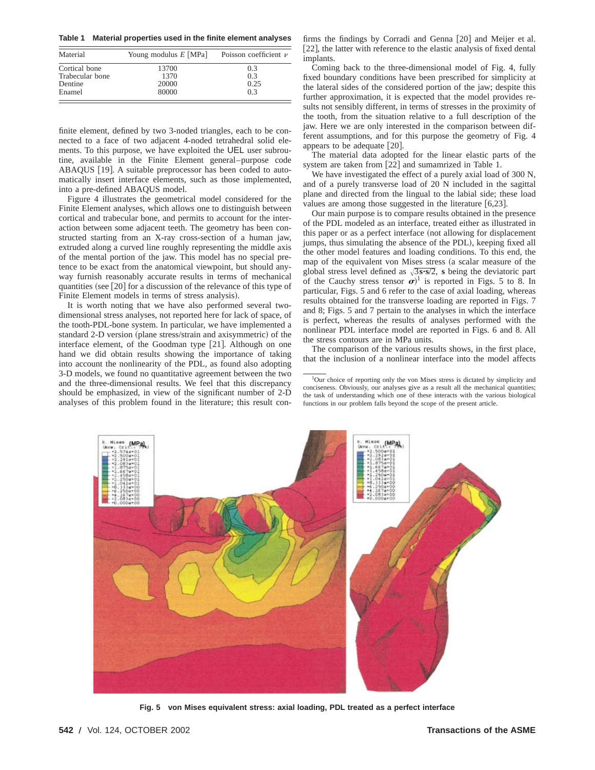**Table 1 Material properties used in the finite element analyses**

| Material        | Young modulus $E$ [MPa] | Poisson coefficient $\nu$ |
|-----------------|-------------------------|---------------------------|
| Cortical bone   | 13700                   | 0.3                       |
| Trabecular bone | 1370                    | 0.3                       |
| Dentine         | 20000                   | 0.25                      |
| Enamel          | 80000                   | 0.3                       |

finite element, defined by two 3-noded triangles, each to be connected to a face of two adjacent 4-noded tetrahedral solid elements. To this purpose, we have exploited the UEL user subroutine, available in the Finite Element general–purpose code ABAQUS [19]. A suitable preprocessor has been coded to automatically insert interface elements, such as those implemented, into a pre-defined ABAQUS model.

Figure 4 illustrates the geometrical model considered for the Finite Element analyses, which allows one to distinguish between cortical and trabecular bone, and permits to account for the interaction between some adjacent teeth. The geometry has been constructed starting from an X-ray cross-section of a human jaw, extruded along a curved line roughly representing the middle axis of the mental portion of the jaw. This model has no special pretence to be exact from the anatomical viewpoint, but should anyway furnish reasonably accurate results in terms of mechanical quantities (see  $\lceil 20 \rceil$  for a discussion of the relevance of this type of Finite Element models in terms of stress analysis).

It is worth noting that we have also performed several twodimensional stress analyses, not reported here for lack of space, of the tooth-PDL-bone system. In particular, we have implemented a standard 2-D version (plane stress/strain and axisymmetric) of the interface element, of the Goodman type [21]. Although on one hand we did obtain results showing the importance of taking into account the nonlinearity of the PDL, as found also adopting 3-D models, we found no quantitative agreement between the two and the three-dimensional results. We feel that this discrepancy should be emphasized, in view of the significant number of 2-D analyses of this problem found in the literature; this result confirms the findings by Corradi and Genna  $[20]$  and Meijer et al.  $[22]$ , the latter with reference to the elastic analysis of fixed dental implants.

Coming back to the three-dimensional model of Fig. 4, fully fixed boundary conditions have been prescribed for simplicity at the lateral sides of the considered portion of the jaw; despite this further approximation, it is expected that the model provides results not sensibly different, in terms of stresses in the proximity of the tooth, from the situation relative to a full description of the jaw. Here we are only interested in the comparison between different assumptions, and for this purpose the geometry of Fig. 4 appears to be adequate  $[20]$ .

The material data adopted for the linear elastic parts of the system are taken from  $[2\overline{2}]$  and sumamrized in Table 1.

We have investigated the effect of a purely axial load of 300 N, and of a purely transverse load of 20 N included in the sagittal plane and directed from the lingual to the labial side; these load values are among those suggested in the literature  $[6,23]$ .

Our main purpose is to compare results obtained in the presence of the PDL modeled as an interface, treated either as illustrated in this paper or as a perfect interface (not allowing for displacement jumps, thus simulating the absence of the PDL), keeping fixed all the other model features and loading conditions. To this end, the map of the equivalent von Mises stress (a scalar measure of the global stress level defined as  $\sqrt{3s\cdot s/2}$ , **s** being the deviatoric part of the Cauchy stress tensor  $\sigma$ <sup>1</sup> is reported in Figs. 5 to 8. In particular, Figs. 5 and 6 refer to the case of axial loading, whereas results obtained for the transverse loading are reported in Figs. 7 and 8; Figs. 5 and 7 pertain to the analyses in which the interface is perfect, whereas the results of analyses performed with the nonlinear PDL interface model are reported in Figs. 6 and 8. All the stress contours are in MPa units.

The comparison of the various results shows, in the first place, that the inclusion of a nonlinear interface into the model affects

<sup>&</sup>lt;sup>1</sup>Our choice of reporting only the von Mises stress is dictated by simplicity and conciseness. Obviously, our analyses give as a result all the mechanical quantities; the task of understanding which one of these interacts with the various biological functions in our problem falls beyond the scope of the present article.



**Fig. 5 von Mises equivalent stress: axial loading, PDL treated as a perfect interface**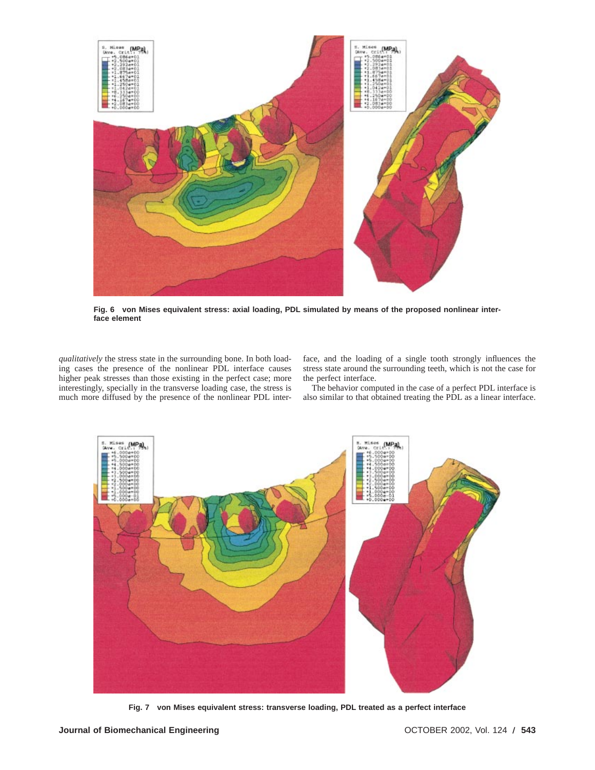

**Fig. 6 von Mises equivalent stress: axial loading, PDL simulated by means of the proposed nonlinear interface element**

*qualitatively* the stress state in the surrounding bone. In both loading cases the presence of the nonlinear PDL interface causes higher peak stresses than those existing in the perfect case; more interestingly, specially in the transverse loading case, the stress is much more diffused by the presence of the nonlinear PDL inter-

face, and the loading of a single tooth strongly influences the stress state around the surrounding teeth, which is not the case for the perfect interface.

The behavior computed in the case of a perfect PDL interface is also similar to that obtained treating the PDL as a linear interface.



**Fig. 7 von Mises equivalent stress: transverse loading, PDL treated as a perfect interface**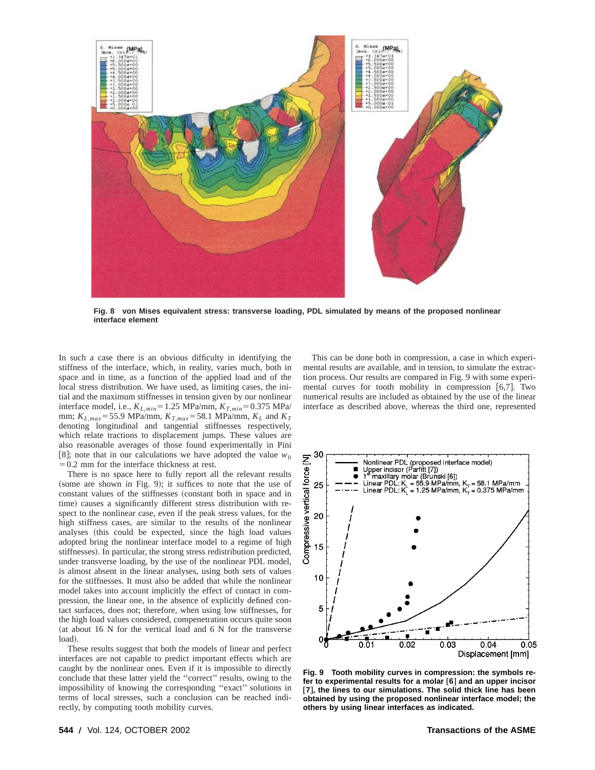

**Fig. 8 von Mises equivalent stress: transverse loading, PDL simulated by means of the proposed nonlinear interface element**

In such a case there is an obvious difficulty in identifying the stiffness of the interface, which, in reality, varies much, both in space and in time, as a function of the applied load and of the local stress distribution. We have used, as limiting cases, the initial and the maximum stiffnesses in tension given by our nonlinear interface model, i.e.,  $K_{L,min} = 1.25$  MPa/mm,  $K_{T,min} = 0.375$  MPa/ mm;  $K_{L,max}$ =55.9 MPa/mm,  $K_{T,max}$ =58.1 MPa/mm,  $K_L$  and  $K_T$ denoting longitudinal and tangential stiffnesses respectively, which relate tractions to displacement jumps. These values are also reasonable averages of those found experimentally in Pini [8]; note that in our calculations we have adopted the value  $w_0$  $=0.2$  mm for the interface thickness at rest.

There is no space here to fully report all the relevant results (some are shown in Fig. 9); it suffices to note that the use of constant values of the stiffnesses (constant both in space and in time) causes a significantly different stress distribution with respect to the nonlinear case, even if the peak stress values, for the high stiffness cases, are similar to the results of the nonlinear analyses (this could be expected, since the high load values adopted bring the nonlinear interface model to a regime of high stiffnesses). In particular, the strong stress redistribution predicted, under transverse loading, by the use of the nonlinear PDL model, is almost absent in the linear analyses, using both sets of values for the stiffnesses. It must also be added that while the nonlinear model takes into account implicitly the effect of contact in compression, the linear one, in the absence of explicitly defined contact surfaces, does not; therefore, when using low stiffnesses, for the high load values considered, compenetration occurs quite soon (at about  $16$  N for the vertical load and  $6$  N for the transverse load).

These results suggest that both the models of linear and perfect interfaces are not capable to predict important effects which are caught by the nonlinear ones. Even if it is impossible to directly conclude that these latter yield the ''correct'' results, owing to the impossibility of knowing the corresponding ''exact'' solutions in terms of local stresses, such a conclusion can be reached indirectly, by computing tooth mobility curves.

This can be done both in compression, a case in which experimental results are available, and in tension, to simulate the extraction process. Our results are compared in Fig. 9 with some experimental curves for tooth mobility in compression  $[6,7]$ . Two numerical results are included as obtained by the use of the linear interface as described above, whereas the third one, represented



**Fig. 9 Tooth mobility curves in compression: the symbols refer to experimental results for a molar** †**6**‡ **and an upper incisor** †**7**‡**, the lines to our simulations. The solid thick line has been obtained by using the proposed nonlinear interface model; the others by using linear interfaces as indicated.**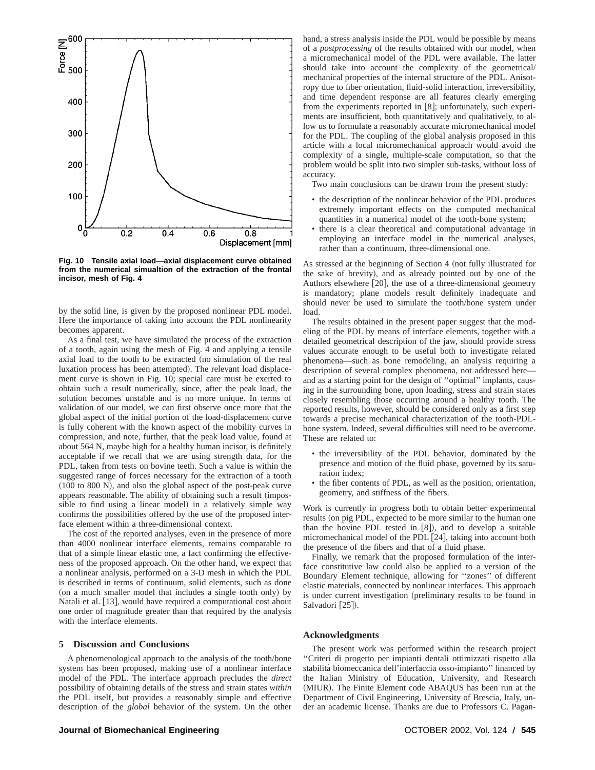

**Fig. 10 Tensile axial load—axial displacement curve obtained from the numerical simualtion of the extraction of the frontal incisor, mesh of Fig. 4**

by the solid line, is given by the proposed nonlinear PDL model. Here the importance of taking into account the PDL nonlinearity becomes apparent.

As a final test, we have simulated the process of the extraction of a tooth, again using the mesh of Fig. 4 and applying a tensile axial load to the tooth to be extracted (no simulation of the real luxation process has been attempted). The relevant load displacement curve is shown in Fig. 10; special care must be exerted to obtain such a result numerically, since, after the peak load, the solution becomes unstable and is no more unique. In terms of validation of our model, we can first observe once more that the global aspect of the initial portion of the load-displacement curve is fully coherent with the known aspect of the mobility curves in compression, and note, further, that the peak load value, found at about 564 N, maybe high for a healthy human incisor, is definitely acceptable if we recall that we are using strength data, for the PDL, taken from tests on bovine teeth. Such a value is within the suggested range of forces necessary for the extraction of a tooth  $(100 \text{ to } 800 \text{ N})$ , and also the global aspect of the post-peak curve appears reasonable. The ability of obtaining such a result (impossible to find using a linear model) in a relatively simple way confirms the possibilities offered by the use of the proposed interface element within a three-dimensional context.

The cost of the reported analyses, even in the presence of more than 4000 nonlinear interface elements, remains comparable to that of a simple linear elastic one, a fact confirming the effectiveness of the proposed approach. On the other hand, we expect that a nonlinear analysis, performed on a 3-D mesh in which the PDL is described in terms of continuum, solid elements, such as done (on a much smaller model that includes a single tooth only) by Natali et al.  $[13]$ , would have required a computational cost about one order of magnitude greater than that required by the analysis with the interface elements.

### **5 Discussion and Conclusions**

A phenomenological approach to the analysis of the tooth/bone system has been proposed, making use of a nonlinear interface model of the PDL. The interface approach precludes the *direct* possibility of obtaining details of the stress and strain states *within* the PDL itself, but provides a reasonably simple and effective description of the *global* behavior of the system. On the other hand, a stress analysis inside the PDL would be possible by means of a *postprocessing* of the results obtained with our model, when a micromechanical model of the PDL were available. The latter should take into account the complexity of the geometrical/ mechanical properties of the internal structure of the PDL. Anisotropy due to fiber orientation, fluid-solid interaction, irreversibility, and time dependent response are all features clearly emerging from the experiments reported in  $[8]$ ; unfortunately, such experiments are insufficient, both quantitatively and qualitatively, to allow us to formulate a reasonably accurate micromechanical model for the PDL. The coupling of the global analysis proposed in this article with a local micromechanical approach would avoid the complexity of a single, multiple-scale computation, so that the problem would be split into two simpler sub-tasks, without loss of accuracy.

Two main conclusions can be drawn from the present study:

- the description of the nonlinear behavior of the PDL produces extremely important effects on the computed mechanical quantities in a numerical model of the tooth-bone system;
- there is a clear theoretical and computational advantage in employing an interface model in the numerical analyses, rather than a continuum, three-dimensional one.

As stressed at the beginning of Section 4 (not fully illustrated for the sake of brevity), and as already pointed out by one of the Authors elsewhere [20], the use of a three-dimensional geometry is mandatory; plane models result definitely inadequate and should never be used to simulate the tooth/bone system under load.

The results obtained in the present paper suggest that the modeling of the PDL by means of interface elements, together with a detailed geometrical description of the jaw, should provide stress values accurate enough to be useful both to investigate related phenomena—such as bone remodeling, an analysis requiring a description of several complex phenomena, not addressed here and as a starting point for the design of ''optimal'' implants, causing in the surrounding bone, upon loading, stress and strain states closely resembling those occurring around a healthy tooth. The reported results, however, should be considered only as a first step towards a precise mechanical characterization of the tooth-PDLbone system. Indeed, several difficulties still need to be overcome. These are related to:

- the irreversibility of the PDL behavior, dominated by the presence and motion of the fluid phase, governed by its saturation index;
- the fiber contents of PDL, as well as the position, orientation, geometry, and stiffness of the fibers.

Work is currently in progress both to obtain better experimental results (on pig PDL, expected to be more similar to the human one than the bovine PDL tested in  $[8]$ ), and to develop a suitable micromechanical model of the PDL [24], taking into account both the presence of the fibers and that of a fluid phase.

Finally, we remark that the proposed formulation of the interface constitutive law could also be applied to a version of the Boundary Element technique, allowing for ''zones'' of different elastic materials, connected by nonlinear interfaces. This approach is under current investigation (preliminary results to be found in Salvadori [25]).

### **Acknowledgments**

The present work was performed within the research project ''Criteri di progetto per impianti dentali ottimizzati rispetto alla stabilità biomeccanica dell'interfaccia osso-impianto" financed by the Italian Ministry of Education, University, and Research (MIUR). The Finite Element code ABAQUS has been run at the Department of Civil Engineering, University of Brescia, Italy, under an academic license. Thanks are due to Professors C. Pagan-